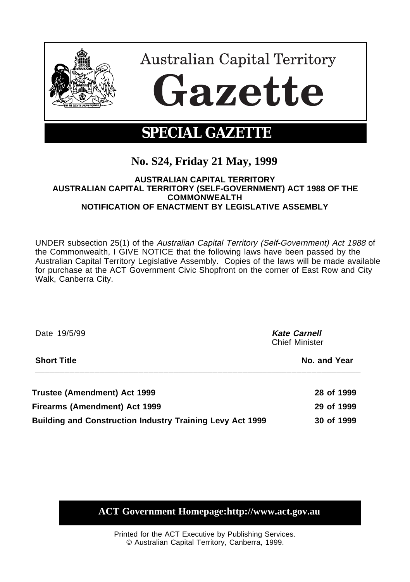

# **No. S24, Friday 21 May, 1999**

# **AUSTRALIAN CAPITAL TERRITORY AUSTRALIAN CAPITAL TERRITORY (SELF-GOVERNMENT) ACT 1988 OF THE COMMONWEALTH NOTIFICATION OF ENACTMENT BY LEGISLATIVE ASSEMBLY**

UNDER subsection 25(1) of the Australian Capital Territory (Self-Government) Act 1988 of the Commonwealth, I GIVE NOTICE that the following laws have been passed by the Australian Capital Territory Legislative Assembly. Copies of the laws will be made available for purchase at the ACT Government Civic Shopfront on the corner of East Row and City Walk, Canberra City.

| Date 19/5/99                                                     | <b>Kate Carnell</b><br><b>Chief Minister</b> |
|------------------------------------------------------------------|----------------------------------------------|
| <b>Short Title</b>                                               | No. and Year                                 |
| Trustee (Amendment) Act 1999                                     | 28 of 1999                                   |
| <b>Firearms (Amendment) Act 1999</b>                             | 29 of 1999                                   |
| <b>Building and Construction Industry Training Levy Act 1999</b> | 30 of 1999                                   |

**ACT Government Homepage:http://www.act.gov.au**

Printed for the ACT Executive by Publishing Services. © Australian Capital Territory, Canberra, 1999.